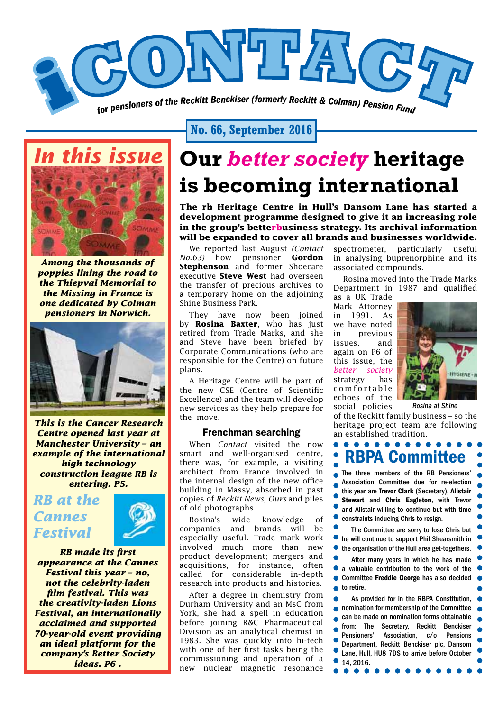

**No. 66, September 2016**



*Among the thousands of poppies lining the road to the Thiepval Memorial to the Missing in France is one dedicated by Colman pensioners in Norwich.* 



*This is the Cancer Research Centre opened last year at Manchester University – an example of the international high technology construction league RB is entering. P5.*

### *RB at the Cannes Festival*



*RB made its first appearance at the Cannes Festival this year – no, not the celebrity-laden film festival. This was the creativity-laden Lions Festival, an internationally acclaimed and supported 70-year-old event providing an ideal platform for the company's Better Society ideas. P6 .* 

## **Our** *better society* **heritage is becoming international**

**The rb Heritage Centre in Hull's Dansom Lane has started a development programme designed to give it an increasing role in the group's betterbusiness strategy. Its archival information will be expanded to cover all brands and businesses worldwide.**

We reported last August *(Contact No.63)* how pensioner **Gordon Stephenson** and former Shoecare executive **Steve West** had overseen the transfer of precious archives to a temporary home on the adjoining Shine Business Park.

They have now been joined by **Rosina Baxter**, who has just retired from Trade Marks, and she and Steve have been briefed by Corporate Communications (who are responsible for the Centre) on future plans.

A Heritage Centre will be part of the new CSE (Centre of Scientific Excellence) and the team will develop new services as they help prepare for the move.

#### Frenchman searching

When *Contact* visited the now smart and well-organised centre, there was, for example, a visiting architect from France involved in the internal design of the new office building in Massy, absorbed in past copies of *Reckitt News, Ours* and piles of old photographs.

Rosina's wide knowledge of companies and brands will be especially useful. Trade mark work involved much more than new product development; mergers and acquisitions, for instance, often called for considerable in-depth research into products and histories.

After a degree in chemistry from Durham University and an MsC from York, she had a spell in education before joining R&C Pharmaceutical Division as an analytical chemist in 1983. She was quickly into hi-tech with one of her first tasks being the commissioning and operation of a new nuclear magnetic resonance spectrometer, particularly useful in analysing buprenorphine and its associated compounds.

Rosina moved into the Trade Marks Department in 1987 and qualified

as a UK Trade Mark Attorney in 1991. As we have noted in previous issues, and again on P6 of this issue, the *better society* strategy has c o m f o r t a b l e echoes of the social policies



*Rosina at Shine*

of the Reckitt family business – so the heritage project team are following an established tradition.



● 14, 2016.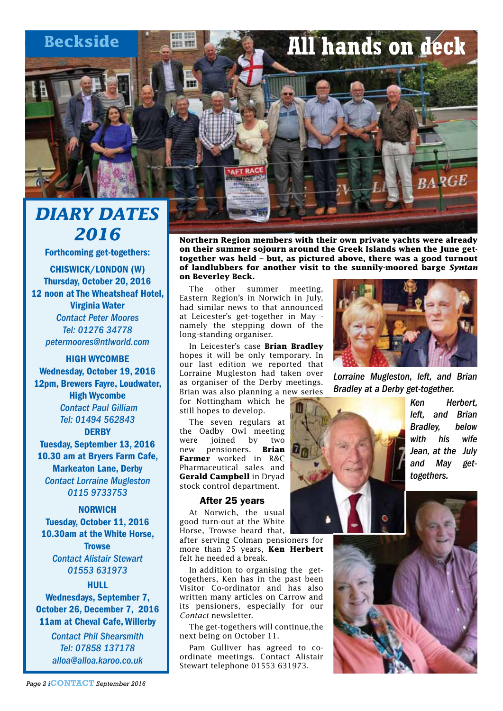## **Beckside All hands on deck**



Forthcoming get-togethers: CHISWICK/LONDON (W) Thursday, October 20, 2016 12 noon at The Wheatsheaf Hotel, Virginia Water *Contact Peter Moores Tel: 01276 34778 petermoores@ntlworld.com*

HIGH WYCOMBE Wednesday, October 19, 2016 12pm, Brewers Fayre, Loudwater, High Wycombe *Contact Paul Gilliam Tel: 01494 562843* **DERBY** Tuesday, September 13, 2016 10.30 am at Bryers Farm Cafe,

Markeaton Lane, Derby *Contact Lorraine Mugleston 0115 9733753*

NORWICH Tuesday, October 11, 2016 10.30am at the White Horse, **Trowse** *Contact Alistair Stewart 01553 631973*

#### HULL

Wednesdays, September 7, October 26, December 7, 2016 11am at Cheval Cafe, Willerby

> *Contact Phil Shearsmith Tel: 07858 137178 alloa@alloa.karoo.co.uk*

**Northern Region members with their own private yachts were already on their summer sojourn around the Greek Islands when the June gettogether was held – but, as pictured above, there was a good turnout of landlubbers for another visit to the sunnily-moored barge** *Syntan* **on Beverley Beck.**

The other summer meeting, Eastern Region's in Norwich in July, had similar news to that announced at Leicester's get-together in May namely the stepping down of the long-standing organiser.

In Leicester's case **Brian Bradley**  hopes it will be only temporary. In our last edition we reported that Lorraine Mugleston had taken over as organiser of the Derby meetings. Brian was also planning a new series

for Nottingham which he still hopes to develop.

The seven regulars at the Oadby Owl meeting were joined by two<br>new pensioners. **Brian** new pensioners. **Farmer** worked in R&C Pharmaceutical sales and **Gerald Campbell** in Dryad stock control department.

#### After 25 years

At Norwich, the usual good turn-out at the White Horse, Trowse heard that,

after serving Colman pensioners for more than 25 years, **Ken Herbert** felt he needed a break.

In addition to organising the gettogethers, Ken has in the past been Visitor Co-ordinator and has also written many articles on Carrow and its pensioners, especially for our *Contact* newsletter.

The get-togethers will continue,the next being on October 11.

Pam Gulliver has agreed to coordinate meetings. Contact Alistair Stewart telephone 01553 631973.



*Lorraine Mugleston, left, and Brian Bradley at a Derby get-together.*



*Ken Herbert, left, and Brian Bradley, below with his wife Jean, at the July and May gettogethers.* 

**RARGE** 

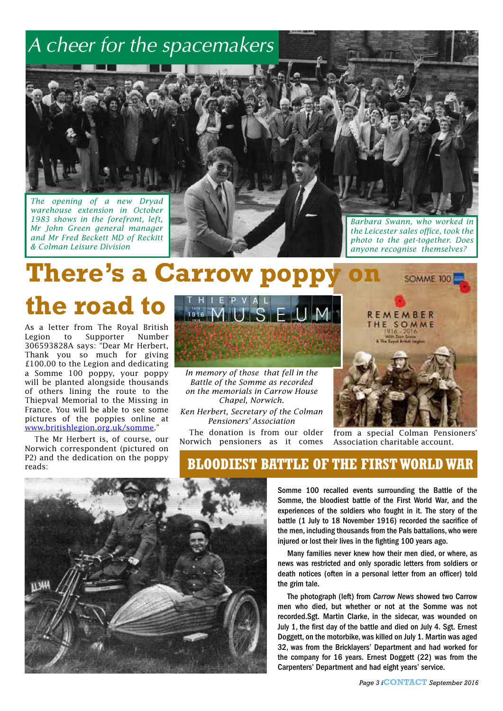## *A cheer for the spacemakers*

*The opening of a new Dryad warehouse extension in October 1983 shows in the forefront, left, Mr John Green general manager and Mr Fred Beckett MD of Reckitt & Colman Leisure Division*

*Barbara Swann, who worked in the Leicester sales office, took the photo to the get-together. Does anyone recognise themselves?* 

**There's a Carrow popp** 

**the road to**

As a letter from The Royal British Legion to Supporter Number 306593828A says: "Dear Mr Herbert, Thank you so much for giving £100.00 to the Legion and dedicating a Somme 100 poppy, your poppy will be planted alongside thousands of others lining the route to the Thiepval Memorial to the Missing in France. You will be able to see some pictures of the poppies online at www.britishlegion.org.uk/somme."

The Mr Herbert is, of course, our Norwich correspondent (pictured on P2) and the dedication on the poppy reads:



*In memory of those that fell in the Battle of the Somme as recorded on the memorials in Carrow House Chapel, Norwich.*

*Ken Herbert, Secretary of the Colman Pensioners' Association*

The donation is from our older Norwich pensioners as it comes



from a special Colman Pensioners' Association charitable account.



### **BLOODIEST BATTLE OF THE FIRST WORLD WAR**

Somme 100 recalled events surrounding the Battle of the Somme, the bloodiest battle of the First World War, and the experiences of the soldiers who fought in it. The story of the battle (1 July to 18 November 1916) recorded the sacrifice of the men, including thousands from the Pals battalions, who were injured or lost their lives in the fighting 100 years ago.

Many families never knew how their men died, or where, as news was restricted and only sporadic letters from soldiers or death notices (often in a personal letter from an officer) told the grim tale.

The photograph (left) from *Carrow News* showed two Carrow men who died, but whether or not at the Somme was not recorded.Sgt. Martin Clarke, in the sidecar, was wounded on July 1, the first day of the battle and died on July 4. Sgt. Ernest Doggett, on the motorbike, was killed on July 1. Martin was aged 32, was from the Bricklayers' Department and had worked for the company for 16 years. Ernest Doggett (22) was from the Carpenters' Department and had eight years' service.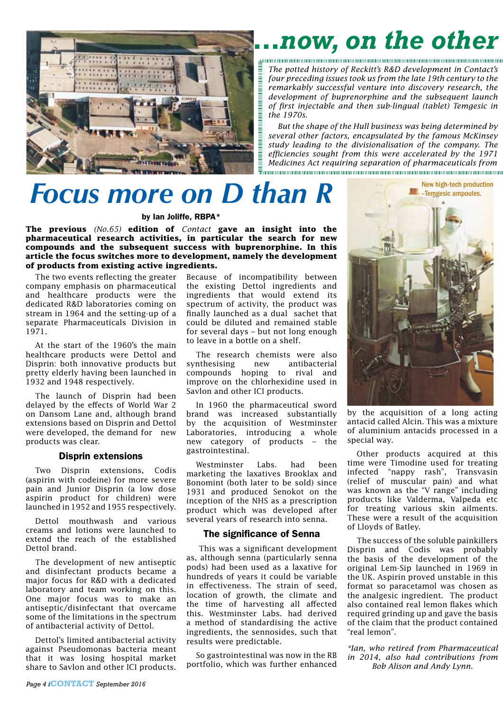

# *…now, on the other*

*The potted history of Reckitt's R&D development in Contact's four preceding issues took us from the late 19th century to the remarkably successful venture into discovery research, the development of buprenorphine and the subsequent launch of first injectable and then sub-lingual (tablet) Temgesic in the 1970s.*

*But the shape of the Hull business was being determined by several other factors, encapsulated by the famous McKinsey study leading to the divisionalisation of the company. The efficiencies sought from this were accelerated by the 1971 Medicines Act requiring separation of pharmaceuticals from*  

## *Focus more on D than R*

#### by Ian Joliffe, RBPA\*

**The previous** *(No.65)* **edition of** *Contact* **gave an insight into the pharmaceutical research activities, in particular the search for new compounds and the subsequent success with buprenorphine. In this article the focus switches more to development, namely the development of products from existing active ingredients.**

The two events reflecting the greater company emphasis on pharmaceutical and healthcare products were the dedicated R&D laboratories coming on stream in 1964 and the setting-up of a separate Pharmaceuticals Division in 1971.

At the start of the 1960's the main healthcare products were Dettol and Disprin: both innovative products but pretty elderly having been launched in 1932 and 1948 respectively.

The launch of Disprin had been delayed by the effects of World War 2 on Dansom Lane and, although brand extensions based on Disprin and Dettol were developed, the demand for new products was clear.

#### Disprin extensions

Two Disprin extensions, Codis (aspirin with codeine) for more severe pain and Junior Disprin (a low dose aspirin product for children) were launched in 1952 and 1955 respectively.

Dettol mouthwash and various creams and lotions were launched to extend the reach of the established Dettol brand.

The development of new antiseptic and disinfectant products became a major focus for R&D with a dedicated laboratory and team working on this. One major focus was to make an antiseptic/disinfectant that overcame some of the limitations in the spectrum of antibacterial activity of Dettol.

Dettol's limited antibacterial activity against Pseudomonas bacteria meant that it was losing hospital market share to Savlon and other ICI products. Because of incompatibility between the existing Dettol ingredients and ingredients that would extend its spectrum of activity, the product was finally launched as a dual sachet that could be diluted and remained stable for several days – but not long enough to leave in a bottle on a shelf.

The research chemists were also synthesising new antibacterial compounds hoping to rival and improve on the chlorhexidine used in Savlon and other ICI products.

In 1960 the pharmaceutical sword brand was increased substantially by the acquisition of Westminster Laboratories, introducing a whole new category of products – the gastrointestinal.

Westminster Labs. had been marketing the laxatives Brooklax and Bonomint (both later to be sold) since 1931 and produced Senokot on the inception of the NHS as a prescription product which was developed after several years of research into senna.

#### The significance of Senna

This was a significant development as, although senna (particularly senna pods) had been used as a laxative for hundreds of years it could be variable in effectiveness. The strain of seed, location of growth, the climate and the time of harvesting all affected this. Westminster Labs. had derived a method of standardising the active ingredients, the sennosides, such that results were predictable.

So gastrointestinal was now in the RB portfolio, which was further enhanced



by the acquisition of a long acting antacid called Alcin. This was a mixture of aluminium antacids processed in a special way.

Other products acquired at this time were Timodine used for treating infected "nappy rash", Transvasin (relief of muscular pain) and what was known as the "V range" including products like Valderma, Valpeda etc for treating various skin ailments. These were a result of the acquisition of Lloyds of Batley.

The success of the soluble painkillers Disprin and Codis was probably the basis of the development of the original Lem-Sip launched in 1969 in the UK. Aspirin proved unstable in this format so paracetamol was chosen as the analgesic ingredient. The product also contained real lemon flakes which required grinding up and gave the basis of the claim that the product contained "real lemon".

*\*Ian, who retired from Pharmaceutical in 2014, also had contributions from Bob Alison and Andy Lynn.*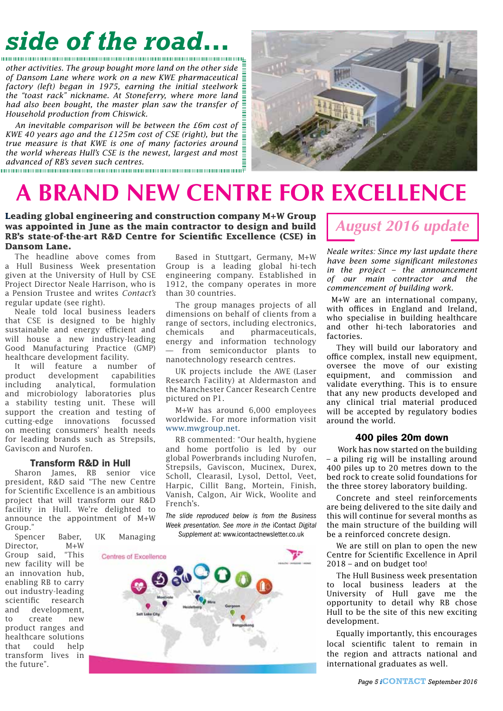# *side of the road…*

*other activities. The group bought more land on the other side of Dansom Lane where work on a new KWE pharmaceutical factory (left) began in 1975, earning the initial steelwork the "toast rack" nickname. At Stoneferry, where more land had also been bought, the master plan saw the transfer of*  $\frac{1}{2}$ *Household production from Chiswick.*

An inevitable comparison will be between the  $f$ 6m cost of  $\bar{\bar{f}}$ *KWE 40 years ago and the £125m cost of CSE (right), but the*  $\frac{1}{2}$ *true measure is that KWE is one of many factories around the world whereas Hull's CSE is the newest, largest and most advanced of RB's seven such centres.*

## **A BRAND NEW CENTRE FOR EXCELLENCE**

**Leading global engineering and construction company M+W Group was appointed in June as the main contractor to design and build RB's state-of-the-art R&D Centre for Scientific Excellence (CSE) in Dansom Lane.**

The headline above comes from a Hull Business Week presentation given at the University of Hull by CSE Project Director Neale Harrison, who is a Pension Trustee and writes *Contact's*  regular update (see right).

Neale told local business leaders that CSE is designed to be highly sustainable and energy efficient and will house a new industry-leading Good Manufacturing Practice (GMP) healthcare development facility.

It will feature a number of product development capabilities<br>including analytical, formulation analytical, formulation and microbiology laboratories plus a stability testing unit. These will support the creation and testing of cutting-edge innovations focussed on meeting consumers' health needs for leading brands such as Strepsils, Gaviscon and Nurofen.

#### Transform R&D in Hull

Sharon James, RB senior vice president, R&D said "The new Centre for Scientific Excellence is an ambitious project that will transform our R&D facility in Hull. We're delighted to announce the appointment of M+W Group."

Spencer Baber, UK Managing Director, M+W Group said, "This new facility will be an innovation hub, enabling RB to carry out industry-leading scientific research and development, to create new product ranges and healthcare solutions that could help transform lives in the future".

Based in Stuttgart, Germany, M+W Group is a leading global hi-tech engineering company. Established in 1912, the company operates in more than 30 countries.

The group manages projects of all dimensions on behalf of clients from a range of sectors, including electronics, chemicals and pharmaceuticals, energy and information technology — from semiconductor plants to nanotechnology research centres.

UK projects include the AWE (Laser Research Facility) at Aldermaston and the Manchester Cancer Research Centre pictured on P1.

M+W has around 6,000 employees worldwide. For more information visit www.mwgroup.net.

RB commented: "Our health, hygiene and home portfolio is led by our global Powerbrands including Nurofen, Strepsils, Gaviscon, Mucinex, Durex, Scholl, Clearasil, Lysol, Dettol, Veet, Harpic, Cillit Bang, Mortein, Finish, Vanish, Calgon, Air Wick, Woolite and French's.

*The slide reproduced below is from the Business Week presentation. See more in the* iContact *Digital Supplement at:* www.icontactnewsletter.co.uk



### *August 2016 update*

*Neale writes: Since my last update there have been some significant milestones in the project – the announcement of our main contractor and the commencement of building work.* 

 M+W are an international company, with offices in England and Ireland, who specialise in building healthcare and other hi-tech laboratories and factories.

They will build our laboratory and office complex, install new equipment, oversee the move of our existing equipment, and commission and validate everything. This is to ensure that any new products developed and any clinical trial material produced will be accepted by regulatory bodies around the world.

#### 400 piles 20m down

 Work has now started on the building – a piling rig will be installing around 400 piles up to 20 metres down to the bed rock to create solid foundations for the three storey laboratory building.

Concrete and steel reinforcements are being delivered to the site daily and this will continue for several months as the main structure of the building will be a reinforced concrete design.

We are still on plan to open the new Centre for Scientific Excellence in April 2018 – and on budget too!

The Hull Business week presentation to local business leaders at the University of Hull gave me the opportunity to detail why RB chose Hull to be the site of this new exciting development.

Equally importantly, this encourages local scientific talent to remain in the region and attracts national and international graduates as well.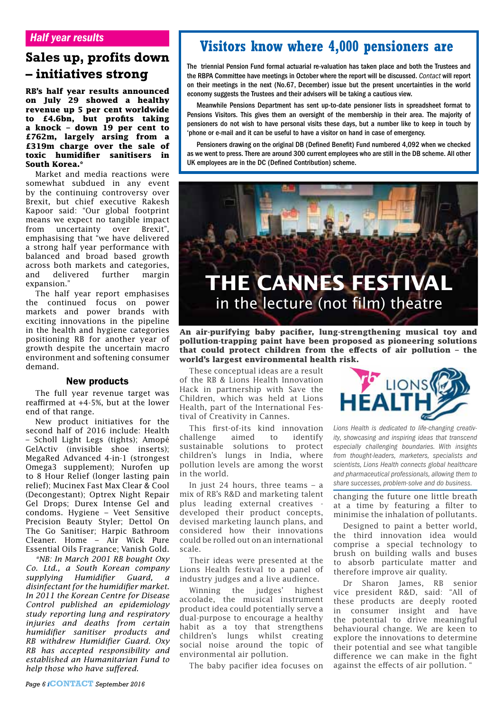# **Sales up, profits down**

**RB's half year results announced on July 29 showed a healthy revenue up 5 per cent worldwide to £4.6bn, but profits taking a knock – down 19 per cent to £762m, largely arsing from a £319m charge over the sale of toxic humidifier sanitisers in South Korea.\***

Market and media reactions were somewhat subdued in any event by the continuing controversy over Brexit, but chief executive Rakesh Kapoor said: "Our global footprint means we expect no tangible impact from uncertainty over Brexit", emphasising that "we have delivered a strong half year performance with balanced and broad based growth across both markets and categories, and delivered further margin expansion."

The half year report emphasises the continued focus on power markets and power brands with exciting innovations in the pipeline in the health and hygiene categories positioning RB for another year of growth despite the uncertain macro environment and softening consumer demand.

#### New products

The full year revenue target was reaffirmed at +4-5%, but at the lower end of that range.

New product initiatives for the second half of 2016 include: Health – Scholl Light Legs (tights); Amopé GelActiv (invisible shoe inserts); MegaRed Advanced 4-in-1 (strongest Omega3 supplement); Nurofen up to 8 Hour Relief (longer lasting pain relief); Mucinex Fast Max Clear & Cool (Decongestant); Optrex Night Repair Gel Drops; Durex Intense Gel and condoms. Hygiene – Veet Sensitive Precision Beauty Styler; Dettol On The Go Sanitiser; Harpic Bathroom Cleaner. Home – Air Wick Pure Essential Oils Fragrance; Vanish Gold.

*\*NB: In March 2001 RB bought Oxy Co. Ltd., a South Korean company supplying Humidifier Guard, a disinfectant for the humidifier market. In 2011 the Korean Centre for Disease Control published an epidemiology study reporting lung and respiratory injuries and deaths from certain humidifier sanitiser products and RB withdrew Humidifier Guard. Oxy RB has accepted responsibility and established an Humanitarian Fund to help those who have suffered.*

### **Visitors know where 4,000 pensioners are**

The triennial Pension Fund formal actuarial re-valuation has taken place and both the Trustees and<br>ithe RBPA Committee have meetings in October where the report will be discussed. Contact will report on their meetings in the next (No.67, December) issue but the present uncertainties in the world economy suggests the Trustees and their advisers will be taking a cautious view.

> Meanwhile Pensions Department has sent up-to-date pensioner lists in spreadsheet format to Pensions Visitors. This gives them an oversight of the membership in their area. The majority of pensioners do not wish to have personal visits these days, but a number like to keep in touch by 'phone or e-mail and it can be useful to have a visitor on hand in case of emergency.

> Pensioners drawing on the original DB (Defined Benefit) Fund numbered 4,092 when we checked as we went to press. There are around 300 current employees who are still in the DB scheme. All other UK employees are in the DC (Defined Contribution) scheme.



**An air-purifying baby pacifier, lung-strengthening musical toy and pollution-trapping paint have been proposed as pioneering solutions that could protect children from the effects of air pollution – the world's largest environmental health risk.**

These conceptual ideas are a result of the RB & Lions Health Innovation Hack in partnership with Save the Children, which was held at Lions Health, part of the International Festival of Creativity in Cannes.

This first-of-its kind innovation challenge aimed to identify sustainable solutions to protect children's lungs in India, where pollution levels are among the worst in the world.

In just 24 hours, three teams  $-$  a mix of RB's R&D and marketing talent plus leading external creatives developed their product concepts, devised marketing launch plans, and considered how their innovations could be rolled out on an international scale.

Their ideas were presented at the Lions Health festival to a panel of industry judges and a live audience.

Winning the judges' highest accolade, the musical instrument product idea could potentially serve a dual-purpose to encourage a healthy habit as a toy that strengthens children's lungs whilst creating social noise around the topic of environmental air pollution.

The baby pacifier idea focuses on



*Lions Health is dedicated to life-changing creativity, showcasing and inspiring ideas that transcend especially challenging boundaries. With insights from thought-leaders, marketers, specialists and scientists, Lions Health connects global healthcare and pharmaceutical professionals, allowing them to share successes, problem-solve and do business.*

changing the future one little breath at a time by featuring a filter to minimise the inhalation of pollutants.

Designed to paint a better world, the third innovation idea would comprise a special technology to brush on building walls and buses to absorb particulate matter and therefore improve air quality.

Dr Sharon James, RB senior vice president R&D, said: "All of these products are deeply rooted in consumer insight and have the potential to drive meaningful behavioural change. We are keen to explore the innovations to determine their potential and see what tangible difference we can make in the fight against the effects of air pollution.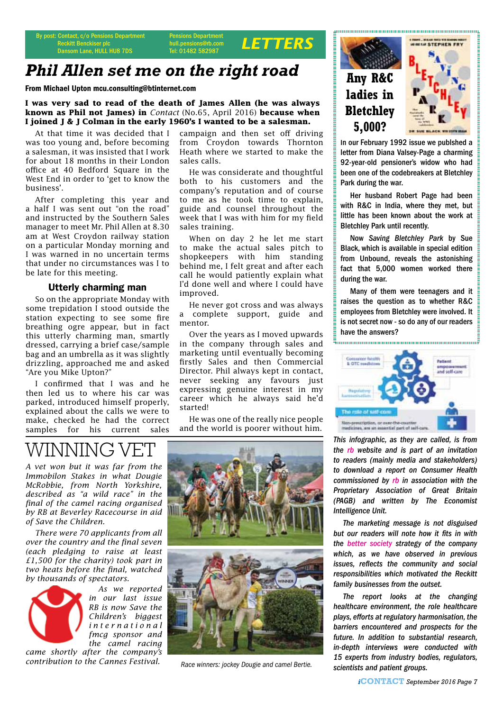By post: Contact, c/o Pensions Department<br>
Reckitt Benckiser plc<br>
Reckitt Benckiser plc<br>
Reckitt Benckiser plc<br>
Reckitt Benckiser plc<br>
Reckitt Benckiser plc<br>
Reckitt Benckiser plc Reckitt Benckiser plc Dansom Lane, HULL HU8 7DS

#### **Insions Department** hull.pensions@rb.com<br>Tel: 01482 582987

### *Phil Allen set me on the right road*

From Michael Upton mcu.consulting@btinternet.com

**I was very sad to read of the death of James Allen (he was always known as Phil not James) in** *Contact* (No.65, April 2016) **because when I joined J & J Colman in the early 1960's I wanted to be a salesman.** 

At that time it was decided that I was too young and, before becoming a salesman, it was insisted that I work for about 18 months in their London office at 40 Bedford Square in the West End in order to 'get to know the business'.

After completing this year and a half I was sent out "on the road" and instructed by the Southern Sales manager to meet Mr. Phil Allen at 8.30 am at West Croydon railway station on a particular Monday morning and I was warned in no uncertain terms that under no circumstances was I to be late for this meeting.

#### Utterly charming man

So on the appropriate Monday with some trepidation I stood outside the station expecting to see some fire breathing ogre appear, but in fact this utterly charming man, smartly dressed, carrying a brief case/sample bag and an umbrella as it was slightly drizzling, approached me and asked "Are you Mike Upton?"

I confirmed that I was and he then led us to where his car was parked, introduced himself properly, explained about the calls we were to make, checked he had the correct samples for his current sales

campaign and then set off driving from Croydon towards Thornton Heath where we started to make the sales calls.

He was considerate and thoughtful both to his customers and the company's reputation and of course to me as he took time to explain, guide and counsel throughout the week that I was with him for my field sales training.

When on day 2 he let me start to make the actual sales pitch to shopkeepers with him standing behind me, I felt great and after each call he would patiently explain what I'd done well and where I could have improved.

He never got cross and was always a complete support, guide and mentor.

Over the years as I moved upwards in the company through sales and marketing until eventually becoming firstly Sales and then Commercial Director. Phil always kept in contact, never seeking any favours just expressing genuine interest in my career which he always said he'd started!

He was one of the really nice people and the world is poorer without him.

## WINNING

*A vet won but it was far from the Immobilon Stakes in what Dougie McRobbie, from North Yorkshire, described as "a wild race" in the final of the camel racing organised by RB at Beverley Racecourse in aid of Save the Children.*

*There were 70 applicants from all over the country and the final seven (each pledging to raise at least £1,500 for the charity) took part in two heats before the final, watched by thousands of spectators.*



*As we reported in our last issue RB is now Save the Children's biggest i n t e r n a t i o n a l fmcg sponsor and the camel racing* 

*came shortly after the company's contribution to the Cannes Festival.* 



*Race winners: jockey Dougie and camel Bertie.*



**5,000?**



In our February 1992 issue we publshed a letter from Diana Valsey-Page a charming 92-year-old pensioner's widow who had been one of the codebreakers at Bletchley Park during the war.

Her husband Robert Page had been with R&C in India, where they met, but little has been known about the work at Bletchley Park until recently.

Now *Saving Bletchley Park* by Sue Black, which is available in special edition from Unbound, reveals the astonishing fact that 5,000 women worked there during the war.

Many of them were teenagers and it raises the question as to whether R&C employees from Bletchley were involved. It is not secret now - so do any of our readers have the answers?



*This infographic, as they are called, is from the rb website and is part of an invitation to readers (mainly media and stakeholders) to download a report on Consumer Health commissioned by rb in association with the Proprietary Association of Great Britain (PAGB) and written by The Economist Intelligence Unit.*

*The marketing message is not disguised but our readers will note how it fits in with the better society strategy of the company which, as we have observed in previous issues, reflects the community and social responsibilities which motivated the Reckitt family businesses from the outset.*

*The report looks at the changing healthcare environment, the role healthcare plays, efforts at regulatory harmonisation, the barriers encountered and prospects for the future. In addition to substantial research, in-depth interviews were conducted with 15 experts from industry bodies, regulators, scientists and patient groups.*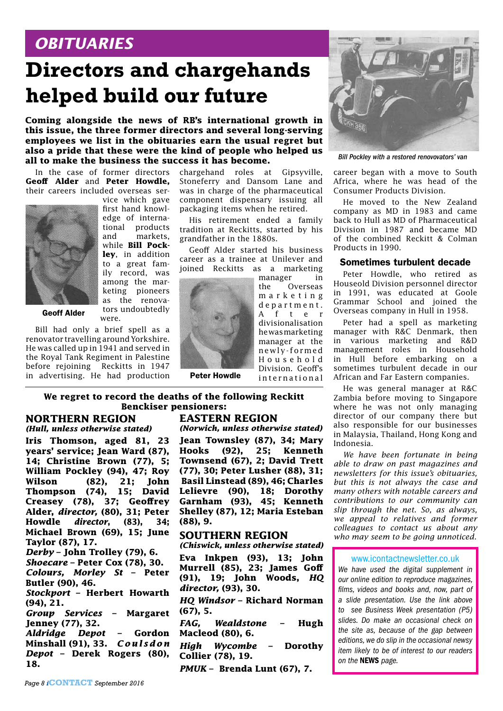### *OBITUARIES*

## **Directors and chargehands helped build our future**

**Coming alongside the news of RB's international growth in this issue, the three former directors and several long-serving employees we list in the obituaries earn the usual regret but also a pride that these were the kind of people who helped us all to make the business the success it has become.**

In the case of former directors **Geoff Alder** and **Peter Howdle,** their careers included overseas ser-



vice which gave first hand knowledge of international products and markets, while **Bill Pockley**, in addition to a great family record, was among the marketing pioneers as the renovators undoubtedly were.

Geoff Alder

Bill had only a brief spell as a renovator travelling around Yorkshire. He was called up in 1941 and served in the Royal Tank Regiment in Palestine before rejoining Reckitts in 1947 in advertising. He had production

chargehand roles at Gipsyville, Stoneferry and Dansom Lane and was in charge of the pharmaceutical component dispensary issuing all packaging items when he retired.

His retirement ended a family tradition at Reckitts, started by his grandfather in the 1880s.

Geoff Alder started his business career as a trainee at Unilever and joined Reckitts as a marketing



Peter Howdle

manager in the Overseas m a r k e t i n g d e p a r t m e n t . A f t e r divisionalisation he was marketing manager at the newly-formed H o u s e h o l d Division. Geoff's i n t e r n a t i o n a l

**We regret to record the deaths of the following Reckitt Benckiser pensioners:**

#### **NORTHERN REGION** *(Hull, unless otherwise stated)*

**Iris Thomson, aged 81, 23 years' service; Jean Ward (87), 14; Christine Brown (77), 5; William Pockley (94), 47; Roy Wilson (82), 21; John Thompson (74), 15; David Creasey (78), 37; Geoffrey Alder,** *director,* **(80), 31; Peter Howdle** *director***, (83), 34; Michael Brown (69), 15; June Taylor (87), 17.**

*Derby* **– John Trolley (79), 6.**

*Shoecare* **– Peter Cox (78), 30.** *Colours, Morley St* **– Peter Butler (90), 46.**

*Stockport* **– Herbert Howarth (94), 21.**

*Group Services* **– Margaret Jenney (77), 32.**

*Aldridge Depot* **– Gordon Minshall (91), 33.** *C o u l s d o n Depot* **– Derek Rogers (80), 18.**

### **EASTERN REGION**

*(Norwich, unless otherwise stated)*

**Jean Townsley (87), 34; Mary Hooks (92), 25; Kenneth Townsend (67), 2; David Trett (77), 30; Peter Lusher (88), 31; Basil Linstead (89), 46; Charles Lelievre (90), 18; Dorothy Garnham (93), 45; Kenneth Shelley (87), 12; Maria Esteban (88), 9.**

#### **SOUTHERN REGION**

*(Chiswick, unless otherwise stated)*

**Eva Inkpen (93), 13; John Murrell (85), 23; James Goff (91), 19; John Woods,** *HQ director,* **(93), 30.** 

*HQ Windsor* **– Richard Norman (67), 5.**

*FAG, Wealdstone* **– Hugh Macleod (80), 6.** 

*High Wycombe* **– Dorothy Collier (78), 19.**

*PMUK* **– Brenda Lunt (67), 7.**



*Bill Pockley with a restored renovovators' van*

career began with a move to South Africa, where he was head of the Consumer Products Division.

He moved to the New Zealand company as MD in 1983 and came back to Hull as MD of Pharmaceutical Division in 1987 and became MD of the combined Reckitt & Colman Products in 1990.

#### Sometimes turbulent decade

Peter Howdle, who retired as Houseold Division personnel director in 1991, was educated at Goole Grammar School and joined the Overseas company in Hull in 1958.

Peter had a spell as marketing manager with R&C Denmark, then in various marketing and R&D management roles in Household in Hull before embarking on a sometimes turbulent decade in our African and Far Eastern companies.

He was general manager at R&C Zambia before moving to Singapore where he was not only managing director of our company there but also responsible for our businesses in Malaysia, Thailand, Hong Kong and Indonesia.

*We have been fortunate in being able to draw on past magazines and newsletters for this issue's obituaries, but this is not always the case and many others with notable careers and contributions to our community can slip through the net. So, as always, we appeal to relatives and former colleagues to contact us about any who may seem to be going unnoticed.* 

#### www.icontactnewsletter.co.uk

*We have used the digital supplement in our online edition to reproduce magazines, films, videos and books and, now, part of a slide presentation. Use the link above to see Business Week presentation (P5) slides. Do make an occasional check on the site as, because of the gap between editions, we do slip in the occasional newsy item likely to be of interest to our readers on the* NEWS *page.*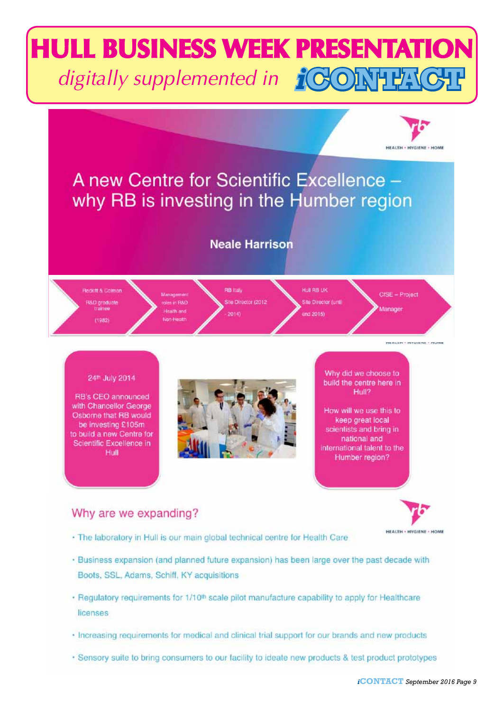# *i***CONTACT** *digitally supplemented in***HULL BUSINESS WEEK PRESENTATION**



### Why are we expanding?



- · The laboratory in Hull is our main global technical centre for Health Care
- . Business expansion (and planned future expansion) has been large over the past decade with Boots, SSL, Adams, Schiff, KY acquisitions
- Regulatory requirements for 1/10<sup>th</sup> scale pilot manufacture capability to apply for Healthcare licenses
- · Increasing requirements for medical and clinical trial support for our brands and new products
- · Sensory suite to bring consumers to our facility to ideate new products & test product prototypes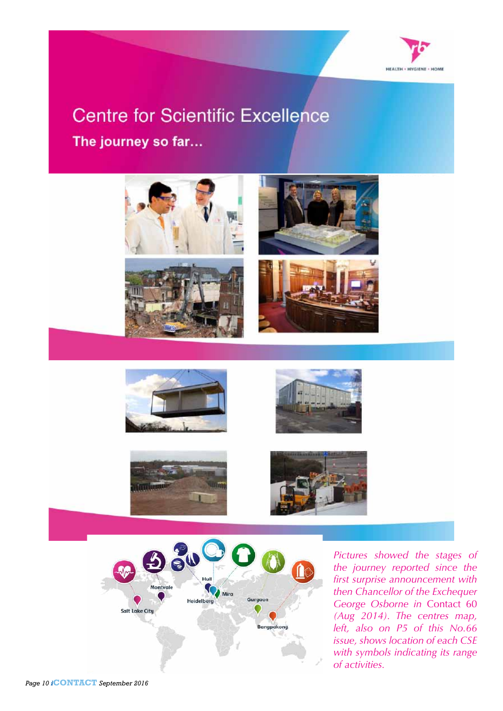

### **Centre for Scientific Excellence** The journey so far...













*Pictures showed the stages of the journey reported since the first surprise announcement with then Chancellor of the Exchequer George Osborne in* Contact 60 *(Aug 2014). The centres map, left, also on P5 of this No.66 issue, shows location of each CSE with symbols indicating its range of activities.*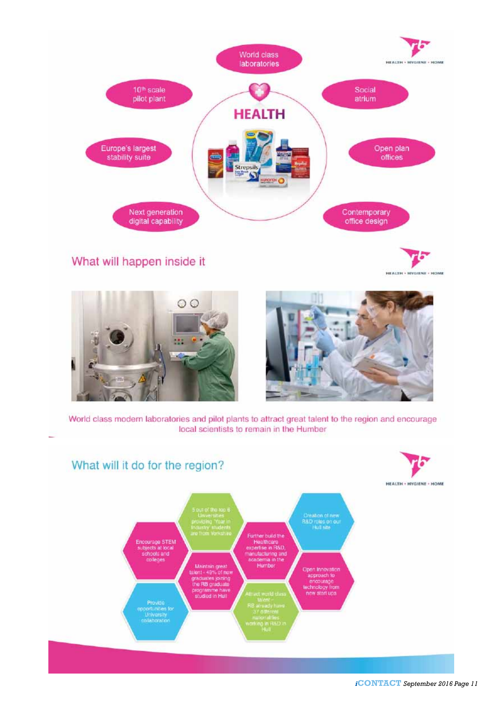

What will happen inside it

**HEALTH - HYGIENE - HOME** 





World class modern laboratories and pilot plants to attract great talent to the region and encourage local scientists to remain in the Humber



*i***CONTACT** *September 2016 Page 11*